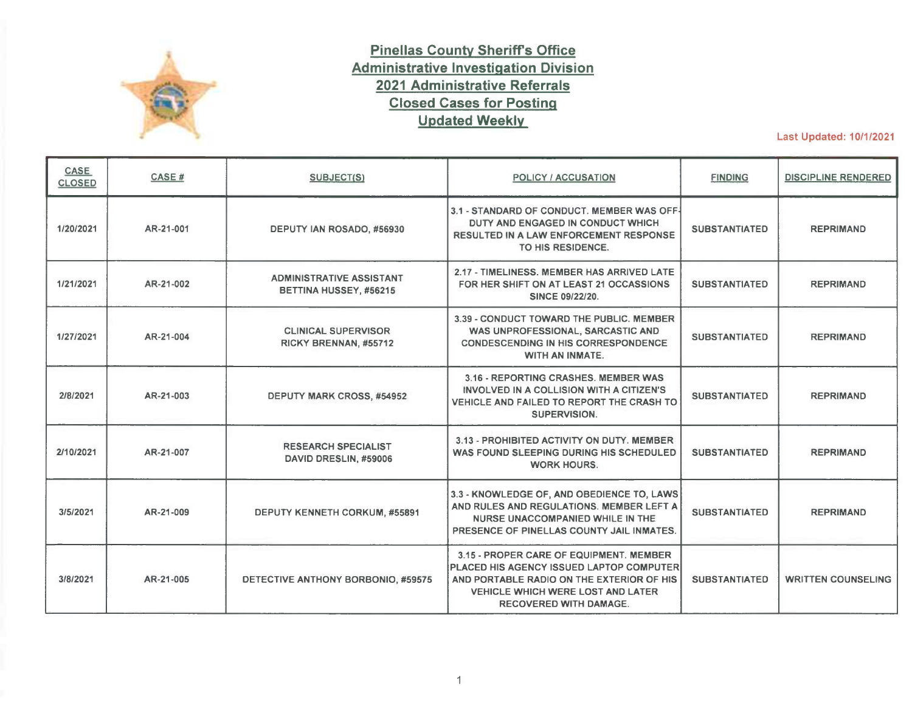

## **Pinellas County Sheriffs Office Administrative Investigation Division 2021 Administrative Referrals Closed Cases for Posting Updated Weekly**

Last Updated: 10/1/2021

| <b>CASE</b><br><b>CLOSED</b> | CASE#     | SUBJECT(S)                                                | <b>POLICY / ACCUSATION</b>                                                                                                                                                                                    | <b>FINDING</b>       | <b>DISCIPLINE RENDERED</b> |
|------------------------------|-----------|-----------------------------------------------------------|---------------------------------------------------------------------------------------------------------------------------------------------------------------------------------------------------------------|----------------------|----------------------------|
| 1/20/2021                    | AR-21-001 | DEPUTY IAN ROSADO, #56930                                 | 3.1 - STANDARD OF CONDUCT. MEMBER WAS OFF-<br>DUTY AND ENGAGED IN CONDUCT WHICH<br><b>RESULTED IN A LAW ENFORCEMENT RESPONSE</b><br>TO HIS RESIDENCE.                                                         | <b>SUBSTANTIATED</b> | <b>REPRIMAND</b>           |
| 1/21/2021                    | AR-21-002 | <b>ADMINISTRATIVE ASSISTANT</b><br>BETTINA HUSSEY, #56215 | 2.17 - TIMELINESS, MEMBER HAS ARRIVED LATE<br>FOR HER SHIFT ON AT LEAST 21 OCCASSIONS<br>SINCE 09/22/20.                                                                                                      | <b>SUBSTANTIATED</b> | <b>REPRIMAND</b>           |
| 1/27/2021                    | AR-21-004 | <b>CLINICAL SUPERVISOR</b><br>RICKY BRENNAN, #55712       | 3.39 - CONDUCT TOWARD THE PUBLIC, MEMBER<br>WAS UNPROFESSIONAL, SARCASTIC AND<br><b>CONDESCENDING IN HIS CORRESPONDENCE</b><br>WITH AN INMATE.                                                                | <b>SUBSTANTIATED</b> | <b>REPRIMAND</b>           |
| 2/8/2021                     | AR-21-003 | <b>DEPUTY MARK CROSS, #54952</b>                          | 3.16 - REPORTING CRASHES, MEMBER WAS<br>INVOLVED IN A COLLISION WITH A CITIZEN'S<br>VEHICLE AND FAILED TO REPORT THE CRASH TO<br><b>SUPERVISION.</b>                                                          | <b>SUBSTANTIATED</b> | <b>REPRIMAND</b>           |
| 2/10/2021                    | AR-21-007 | <b>RESEARCH SPECIALIST</b><br>DAVID DRESLIN, #59006       | 3.13 - PROHIBITED ACTIVITY ON DUTY, MEMBER<br>WAS FOUND SLEEPING DURING HIS SCHEDULED<br><b>WORK HOURS.</b>                                                                                                   | <b>SUBSTANTIATED</b> | <b>REPRIMAND</b>           |
| 3/5/2021                     | AR-21-009 | <b>DEPUTY KENNETH CORKUM, #55891</b>                      | 3.3 - KNOWLEDGE OF, AND OBEDIENCE TO, LAWS<br>AND RULES AND REGULATIONS. MEMBER LEFT A<br>NURSE UNACCOMPANIED WHILE IN THE<br>PRESENCE OF PINELLAS COUNTY JAIL INMATES.                                       | <b>SUBSTANTIATED</b> | <b>REPRIMAND</b>           |
| 3/8/2021                     | AR-21-005 | DETECTIVE ANTHONY BORBONIO, #59575                        | 3.15 - PROPER CARE OF EQUIPMENT, MEMBER<br>PLACED HIS AGENCY ISSUED LAPTOP COMPUTER<br>AND PORTABLE RADIO ON THE EXTERIOR OF HIS<br><b>VEHICLE WHICH WERE LOST AND LATER</b><br><b>RECOVERED WITH DAMAGE.</b> | <b>SUBSTANTIATED</b> | <b>WRITTEN COUNSELING</b>  |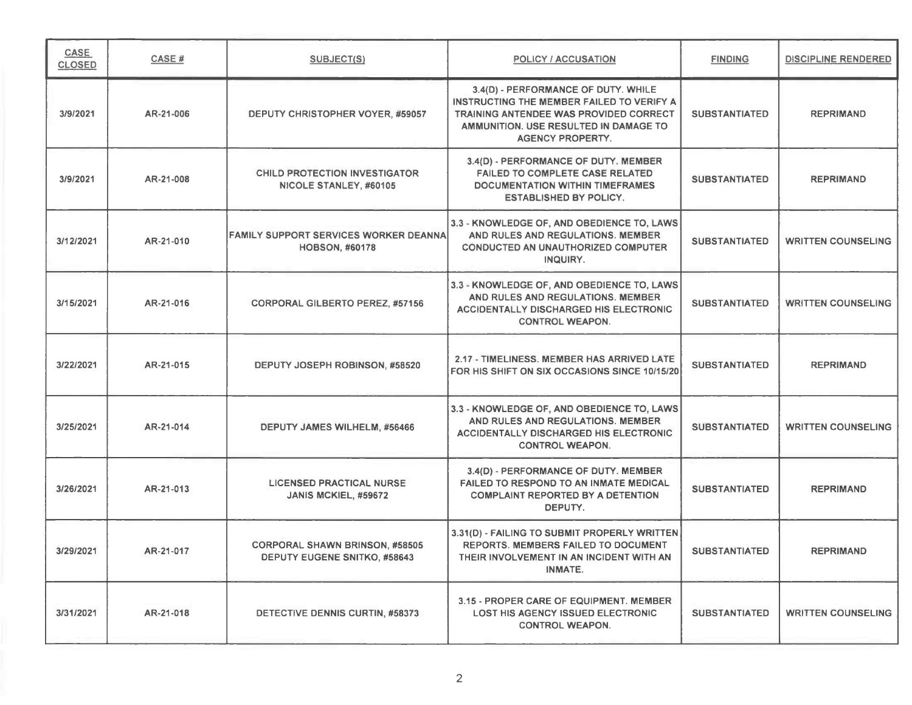| CASE<br><b>CLOSED</b> | <b>CASE#</b> | <b>SUBJECT(S)</b>                                                            | <b>POLICY / ACCUSATION</b>                                                                                                                                                                     | <b>FINDING</b>       | <b>DISCIPLINE RENDERED</b> |
|-----------------------|--------------|------------------------------------------------------------------------------|------------------------------------------------------------------------------------------------------------------------------------------------------------------------------------------------|----------------------|----------------------------|
| 3/9/2021              | AR-21-006    | DEPUTY CHRISTOPHER VOYER, #59057                                             | 3.4(D) - PERFORMANCE OF DUTY. WHILE<br>INSTRUCTING THE MEMBER FAILED TO VERIFY A<br>TRAINING ANTENDEE WAS PROVIDED CORRECT<br>AMMUNITION, USE RESULTED IN DAMAGE TO<br><b>AGENCY PROPERTY.</b> | <b>SUBSTANTIATED</b> | <b>REPRIMAND</b>           |
| 3/9/2021              | AR-21-008    | <b>CHILD PROTECTION INVESTIGATOR</b><br>NICOLE STANLEY, #60105               | 3.4(D) - PERFORMANCE OF DUTY. MEMBER<br><b>FAILED TO COMPLETE CASE RELATED</b><br><b>DOCUMENTATION WITHIN TIMEFRAMES</b><br><b>ESTABLISHED BY POLICY.</b>                                      | <b>SUBSTANTIATED</b> | <b>REPRIMAND</b>           |
| 3/12/2021             | AR-21-010    | <b>FAMILY SUPPORT SERVICES WORKER DEANNA</b><br><b>HOBSON, #60178</b>        | 3.3 - KNOWLEDGE OF, AND OBEDIENCE TO, LAWS<br>AND RULES AND REGULATIONS. MEMBER<br><b>CONDUCTED AN UNAUTHORIZED COMPUTER</b><br>INQUIRY.                                                       | <b>SUBSTANTIATED</b> | <b>WRITTEN COUNSELING</b>  |
| 3/15/2021             | AR-21-016    | <b>CORPORAL GILBERTO PEREZ, #57156</b>                                       | 3.3 - KNOWLEDGE OF, AND OBEDIENCE TO, LAWS<br>AND RULES AND REGULATIONS. MEMBER<br><b>ACCIDENTALLY DISCHARGED HIS ELECTRONIC</b><br><b>CONTROL WEAPON.</b>                                     | <b>SUBSTANTIATED</b> | <b>WRITTEN COUNSELING</b>  |
| 3/22/2021             | AR-21-015    | DEPUTY JOSEPH ROBINSON, #58520                                               | 2.17 - TIMELINESS. MEMBER HAS ARRIVED LATE<br>FOR HIS SHIFT ON SIX OCCASIONS SINCE 10/15/20                                                                                                    | <b>SUBSTANTIATED</b> | <b>REPRIMAND</b>           |
| 3/25/2021             | AR-21-014    | DEPUTY JAMES WILHELM, #56466                                                 | 3.3 - KNOWLEDGE OF, AND OBEDIENCE TO, LAWS<br>AND RULES AND REGULATIONS, MEMBER<br><b>ACCIDENTALLY DISCHARGED HIS ELECTRONIC</b><br><b>CONTROL WEAPON.</b>                                     | <b>SUBSTANTIATED</b> | <b>WRITTEN COUNSELING</b>  |
| 3/26/2021             | AR-21-013    | <b>LICENSED PRACTICAL NURSE</b><br>JANIS MCKIEL, #59672                      | 3.4(D) - PERFORMANCE OF DUTY. MEMBER<br><b>FAILED TO RESPOND TO AN INMATE MEDICAL</b><br><b>COMPLAINT REPORTED BY A DETENTION</b><br>DEPUTY.                                                   | <b>SUBSTANTIATED</b> | <b>REPRIMAND</b>           |
| 3/29/2021             | AR-21-017    | <b>CORPORAL SHAWN BRINSON, #58505</b><br><b>DEPUTY EUGENE SNITKO, #58643</b> | 3.31(D) - FAILING TO SUBMIT PROPERLY WRITTEN<br>REPORTS. MEMBERS FAILED TO DOCUMENT<br>THEIR INVOLVEMENT IN AN INCIDENT WITH AN<br><b>INMATE.</b>                                              | <b>SUBSTANTIATED</b> | <b>REPRIMAND</b>           |
| 3/31/2021             | AR-21-018    | <b>DETECTIVE DENNIS CURTIN, #58373</b>                                       | 3.15 - PROPER CARE OF EQUIPMENT. MEMBER<br><b>LOST HIS AGENCY ISSUED ELECTRONIC</b><br><b>CONTROL WEAPON.</b>                                                                                  | <b>SUBSTANTIATED</b> | <b>WRITTEN COUNSELING</b>  |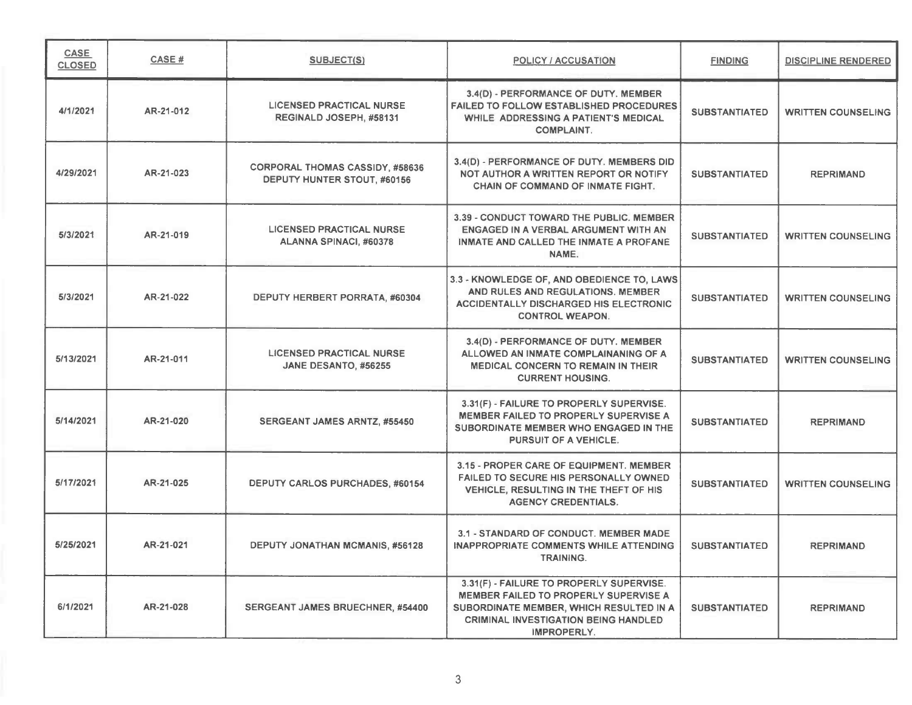| <b>CASE</b><br><b>CLOSED</b> | CASE#     | <b>SUBJECT(S)</b>                                                     | <b>POLICY / ACCUSATION</b>                                                                                                                                                                        | <b>FINDING</b>       | <b>DISCIPLINE RENDERED</b> |
|------------------------------|-----------|-----------------------------------------------------------------------|---------------------------------------------------------------------------------------------------------------------------------------------------------------------------------------------------|----------------------|----------------------------|
| 4/1/2021                     | AR-21-012 | <b>LICENSED PRACTICAL NURSE</b><br>REGINALD JOSEPH, #58131            | 3.4(D) - PERFORMANCE OF DUTY. MEMBER<br><b>FAILED TO FOLLOW ESTABLISHED PROCEDURES</b><br>WHILE ADDRESSING A PATIENT'S MEDICAL<br><b>COMPLAINT.</b>                                               | <b>SUBSTANTIATED</b> | <b>WRITTEN COUNSELING</b>  |
| 4/29/2021                    | AR-21-023 | <b>CORPORAL THOMAS CASSIDY, #58636</b><br>DEPUTY HUNTER STOUT, #60156 | 3.4(D) - PERFORMANCE OF DUTY. MEMBERS DID<br>NOT AUTHOR A WRITTEN REPORT OR NOTIFY<br>CHAIN OF COMMAND OF INMATE FIGHT.                                                                           | <b>SUBSTANTIATED</b> | <b>REPRIMAND</b>           |
| 5/3/2021                     | AR-21-019 | <b>LICENSED PRACTICAL NURSE</b><br>ALANNA SPINACI, #60378             | 3.39 - CONDUCT TOWARD THE PUBLIC. MEMBER<br>ENGAGED IN A VERBAL ARGUMENT WITH AN<br>INMATE AND CALLED THE INMATE A PROFANE<br>NAME.                                                               | <b>SUBSTANTIATED</b> | <b>WRITTEN COUNSELING</b>  |
| 5/3/2021                     | AR-21-022 | DEPUTY HERBERT PORRATA, #60304                                        | 3.3 - KNOWLEDGE OF, AND OBEDIENCE TO, LAWS<br>AND RULES AND REGULATIONS. MEMBER<br><b>ACCIDENTALLY DISCHARGED HIS ELECTRONIC</b><br><b>CONTROL WEAPON.</b>                                        | <b>SUBSTANTIATED</b> | <b>WRITTEN COUNSELING</b>  |
| 5/13/2021                    | AR-21-011 | <b>LICENSED PRACTICAL NURSE</b><br>JANE DESANTO, #56255               | 3.4(D) - PERFORMANCE OF DUTY. MEMBER<br>ALLOWED AN INMATE COMPLAINANING OF A<br><b>MEDICAL CONCERN TO REMAIN IN THEIR</b><br><b>CURRENT HOUSING.</b>                                              | <b>SUBSTANTIATED</b> | <b>WRITTEN COUNSELING</b>  |
| 5/14/2021                    | AR-21-020 | <b>SERGEANT JAMES ARNTZ, #55450</b>                                   | 3.31(F) - FAILURE TO PROPERLY SUPERVISE.<br>MEMBER FAILED TO PROPERLY SUPERVISE A<br>SUBORDINATE MEMBER WHO ENGAGED IN THE<br><b>PURSUIT OF A VEHICLE.</b>                                        | <b>SUBSTANTIATED</b> | <b>REPRIMAND</b>           |
| 5/17/2021                    | AR-21-025 | DEPUTY CARLOS PURCHADES, #60154                                       | 3.15 - PROPER CARE OF EQUIPMENT. MEMBER<br><b>FAILED TO SECURE HIS PERSONALLY OWNED</b><br>VEHICLE, RESULTING IN THE THEFT OF HIS<br><b>AGENCY CREDENTIALS.</b>                                   | <b>SUBSTANTIATED</b> | <b>WRITTEN COUNSELING</b>  |
| 5/25/2021                    | AR-21-021 | <b>DEPUTY JONATHAN MCMANIS, #56128</b>                                | 3.1 - STANDARD OF CONDUCT. MEMBER MADE<br>INAPPROPRIATE COMMENTS WHILE ATTENDING<br><b>TRAINING.</b>                                                                                              | <b>SUBSTANTIATED</b> | <b>REPRIMAND</b>           |
| 6/1/2021                     | AR-21-028 | SERGEANT JAMES BRUECHNER, #54400                                      | 3.31(F) - FAILURE TO PROPERLY SUPERVISE.<br>MEMBER FAILED TO PROPERLY SUPERVISE A<br>SUBORDINATE MEMBER, WHICH RESULTED IN A<br><b>CRIMINAL INVESTIGATION BEING HANDLED</b><br><b>IMPROPERLY.</b> | <b>SUBSTANTIATED</b> | <b>REPRIMAND</b>           |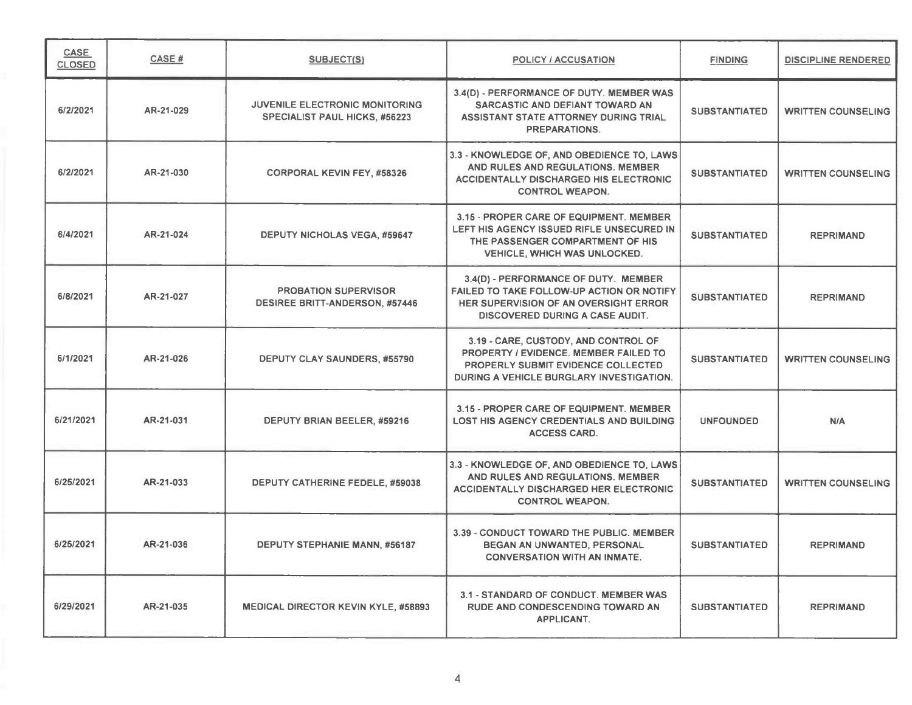| CASE<br><b>CLOSED</b> | CASE#     | SUBJECT(S)                                                                    | POLICY / ACCUSATION                                                                                                                                                    | <b>FINDING</b>       | <b>DISCIPLINE RENDERED</b> |
|-----------------------|-----------|-------------------------------------------------------------------------------|------------------------------------------------------------------------------------------------------------------------------------------------------------------------|----------------------|----------------------------|
| 6/2/2021              | AR-21-029 | <b>JUVENILE ELECTRONIC MONITORING</b><br><b>SPECIALIST PAUL HICKS, #56223</b> | 3.4(D) - PERFORMANCE OF DUTY. MEMBER WAS<br>SARCASTIC AND DEFIANT TOWARD AN<br>ASSISTANT STATE ATTORNEY DURING TRIAL<br><b>PREPARATIONS.</b>                           | <b>SUBSTANTIATED</b> | <b>WRITTEN COUNSELING</b>  |
| 6/2/2021              | AR-21-030 | <b>CORPORAL KEVIN FEY. #58326</b>                                             | 3.3 - KNOWLEDGE OF, AND OBEDIENCE TO, LAWS<br>AND RULES AND REGULATIONS. MEMBER<br><b>ACCIDENTALLY DISCHARGED HIS ELECTRONIC</b><br><b>CONTROL WEAPON.</b>             | <b>SUBSTANTIATED</b> | <b>WRITTEN COUNSELING</b>  |
| 6/4/2021              | AR-21-024 | <b>DEPUTY NICHOLAS VEGA, #59647</b>                                           | 3.15 - PROPER CARE OF EQUIPMENT. MEMBER<br>LEFT HIS AGENCY ISSUED RIFLE UNSECURED IN<br>THE PASSENGER COMPARTMENT OF HIS<br><b>VEHICLE, WHICH WAS UNLOCKED.</b>        | <b>SUBSTANTIATED</b> | <b>REPRIMAND</b>           |
| 6/8/2021              | AR-21-027 | <b>PROBATION SUPERVISOR</b><br><b>DESIREE BRITT-ANDERSON, #57446</b>          | 3.4(D) - PERFORMANCE OF DUTY. MEMBER<br>FAILED TO TAKE FOLLOW-UP ACTION OR NOTIFY<br>HER SUPERVISION OF AN OVERSIGHT ERROR<br><b>DISCOVERED DURING A CASE AUDIT.</b>   | <b>SUBSTANTIATED</b> | <b>REPRIMAND</b>           |
| 6/1/2021              | AR-21-026 | DEPUTY CLAY SAUNDERS, #55790                                                  | 3.19 - CARE, CUSTODY, AND CONTROL OF<br><b>PROPERTY / EVIDENCE. MEMBER FAILED TO</b><br>PROPERLY SUBMIT EVIDENCE COLLECTED<br>DURING A VEHICLE BURGLARY INVESTIGATION. | <b>SUBSTANTIATED</b> | <b>WRITTEN COUNSELING</b>  |
| 6/21/2021             | AR-21-031 | DEPUTY BRIAN BEELER, #59216                                                   | 3.15 - PROPER CARE OF EQUIPMENT, MEMBER<br><b>LOST HIS AGENCY CREDENTIALS AND BUILDING</b><br><b>ACCESS CARD.</b>                                                      | <b>UNFOUNDED</b>     | N/A                        |
| 6/25/2021             | AR-21-033 | DEPUTY CATHERINE FEDELE, #59038                                               | 3.3 - KNOWLEDGE OF, AND OBEDIENCE TO, LAWS<br>AND RULES AND REGULATIONS. MEMBER<br><b>ACCIDENTALLY DISCHARGED HER ELECTRONIC</b><br><b>CONTROL WEAPON.</b>             | <b>SUBSTANTIATED</b> | <b>WRITTEN COUNSELING</b>  |
| 6/25/2021             | AR-21-036 | DEPUTY STEPHANIE MANN, #56187                                                 | 3.39 - CONDUCT TOWARD THE PUBLIC, MEMBER<br>BEGAN AN UNWANTED, PERSONAL<br><b>CONVERSATION WITH AN INMATE.</b>                                                         | <b>SUBSTANTIATED</b> | <b>REPRIMAND</b>           |
| 6/29/2021             | AR-21-035 | <b>MEDICAL DIRECTOR KEVIN KYLE, #58893</b>                                    | 3.1 - STANDARD OF CONDUCT. MEMBER WAS<br><b>RUDE AND CONDESCENDING TOWARD AN</b><br>APPLICANT.                                                                         | <b>SUBSTANTIATED</b> | <b>REPRIMAND</b>           |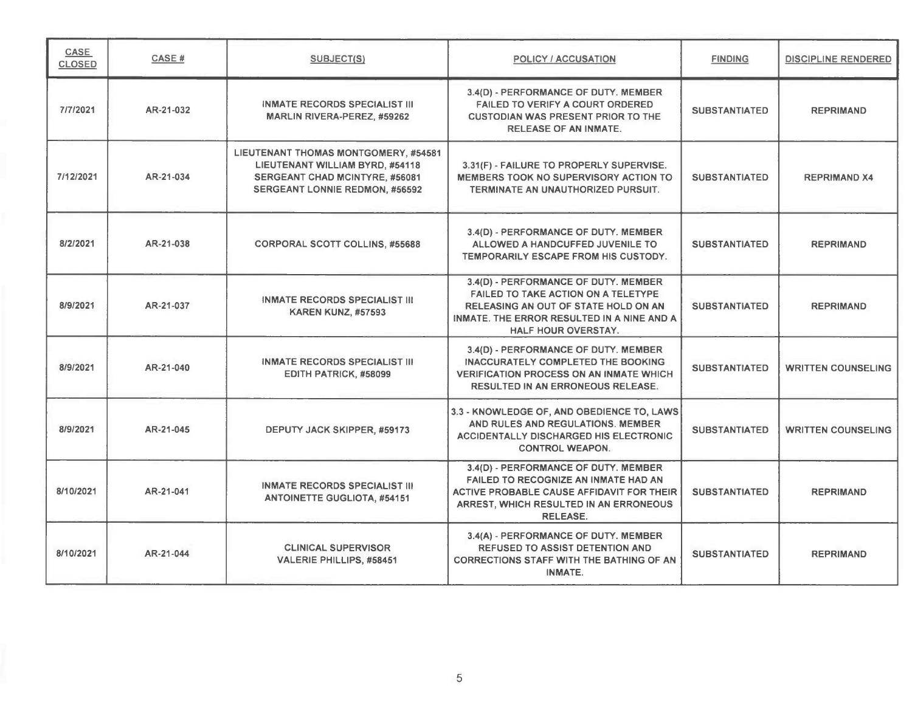| <b>CASE</b><br><b>CLOSED</b> | CASE#     | <b>SUBJECT(S)</b>                                                                                                                                  | <b>POLICY / ACCUSATION</b>                                                                                                                                                                             | <b>FINDING</b>       | <b>DISCIPLINE RENDERED</b> |
|------------------------------|-----------|----------------------------------------------------------------------------------------------------------------------------------------------------|--------------------------------------------------------------------------------------------------------------------------------------------------------------------------------------------------------|----------------------|----------------------------|
| 7/7/2021                     | AR-21-032 | <b>INMATE RECORDS SPECIALIST III</b><br><b>MARLIN RIVERA-PEREZ. #59262</b>                                                                         | 3.4(D) - PERFORMANCE OF DUTY. MEMBER<br><b>FAILED TO VERIFY A COURT ORDERED</b><br><b>CUSTODIAN WAS PRESENT PRIOR TO THE</b><br><b>RELEASE OF AN INMATE.</b>                                           | <b>SUBSTANTIATED</b> | <b>REPRIMAND</b>           |
| 7/12/2021                    | AR-21-034 | LIEUTENANT THOMAS MONTGOMERY, #54581<br>LIEUTENANT WILLIAM BYRD, #54118<br>SERGEANT CHAD MCINTYRE, #56081<br><b>SERGEANT LONNIE REDMON, #56592</b> | 3.31(F) - FAILURE TO PROPERLY SUPERVISE.<br>MEMBERS TOOK NO SUPERVISORY ACTION TO<br>TERMINATE AN UNAUTHORIZED PURSUIT.                                                                                | <b>SUBSTANTIATED</b> | <b>REPRIMAND X4</b>        |
| 8/2/2021                     | AR-21-038 | <b>CORPORAL SCOTT COLLINS, #55688</b>                                                                                                              | 3.4(D) - PERFORMANCE OF DUTY. MEMBER<br>ALLOWED A HANDCUFFED JUVENILE TO<br>TEMPORARILY ESCAPE FROM HIS CUSTODY.                                                                                       | <b>SUBSTANTIATED</b> | <b>REPRIMAND</b>           |
| 8/9/2021                     | AR-21-037 | <b>INMATE RECORDS SPECIALIST III</b><br><b>KAREN KUNZ, #57593</b>                                                                                  | 3.4(D) - PERFORMANCE OF DUTY. MEMBER<br><b>FAILED TO TAKE ACTION ON A TELETYPE</b><br>RELEASING AN OUT OF STATE HOLD ON AN<br>INMATE. THE ERROR RESULTED IN A NINE AND A<br><b>HALF HOUR OVERSTAY.</b> | <b>SUBSTANTIATED</b> | <b>REPRIMAND</b>           |
| 8/9/2021                     | AR-21-040 | <b>INMATE RECORDS SPECIALIST III</b><br>EDITH PATRICK, #58099                                                                                      | 3.4(D) - PERFORMANCE OF DUTY. MEMBER<br><b>INACCURATELY COMPLETED THE BOOKING</b><br><b>VERIFICATION PROCESS ON AN INMATE WHICH</b><br><b>RESULTED IN AN ERRONEOUS RELEASE.</b>                        | <b>SUBSTANTIATED</b> | <b>WRITTEN COUNSELING</b>  |
| 8/9/2021                     | AR-21-045 | DEPUTY JACK SKIPPER, #59173                                                                                                                        | 3.3 - KNOWLEDGE OF, AND OBEDIENCE TO, LAWS<br>AND RULES AND REGULATIONS. MEMBER<br><b>ACCIDENTALLY DISCHARGED HIS ELECTRONIC</b><br><b>CONTROL WEAPON.</b>                                             | <b>SUBSTANTIATED</b> | <b>WRITTEN COUNSELING</b>  |
| 8/10/2021                    | AR-21-041 | <b>INMATE RECORDS SPECIALIST III</b><br><b>ANTOINETTE GUGLIOTA, #54151</b>                                                                         | 3.4(D) - PERFORMANCE OF DUTY. MEMBER<br>FAILED TO RECOGNIZE AN INMATE HAD AN<br>ACTIVE PROBABLE CAUSE AFFIDAVIT FOR THEIR<br>ARREST, WHICH RESULTED IN AN ERRONEOUS<br><b>RELEASE.</b>                 | <b>SUBSTANTIATED</b> | <b>REPRIMAND</b>           |
| 8/10/2021                    | AR-21-044 | <b>CLINICAL SUPERVISOR</b><br>VALERIE PHILLIPS, #58451                                                                                             | 3.4(A) - PERFORMANCE OF DUTY. MEMBER<br><b>REFUSED TO ASSIST DETENTION AND</b><br><b>CORRECTIONS STAFF WITH THE BATHING OF AN</b><br>INMATE.                                                           | <b>SUBSTANTIATED</b> | <b>REPRIMAND</b>           |